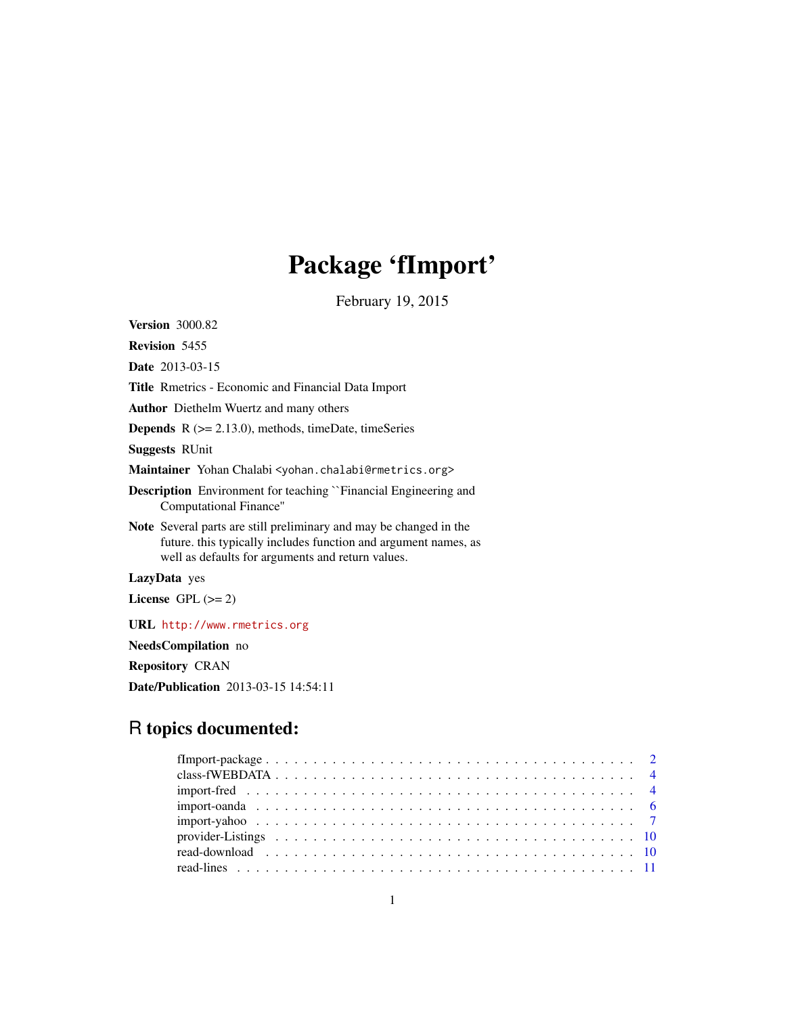## Package 'fImport'

February 19, 2015

<span id="page-0-0"></span>Version 3000.82 Revision 5455 Date 2013-03-15 Title Rmetrics - Economic and Financial Data Import Author Diethelm Wuertz and many others **Depends**  $R$  ( $>= 2.13.0$ ), methods, timeDate, timeSeries Suggests RUnit Maintainer Yohan Chalabi <yohan.chalabi@rmetrics.org> Description Environment for teaching ``Financial Engineering and Computational Finance'' Note Several parts are still preliminary and may be changed in the future. this typically includes function and argument names, as well as defaults for arguments and return values. LazyData yes License GPL  $(>= 2)$ URL <http://www.rmetrics.org> NeedsCompilation no Repository CRAN Date/Publication 2013-03-15 14:54:11

### R topics documented: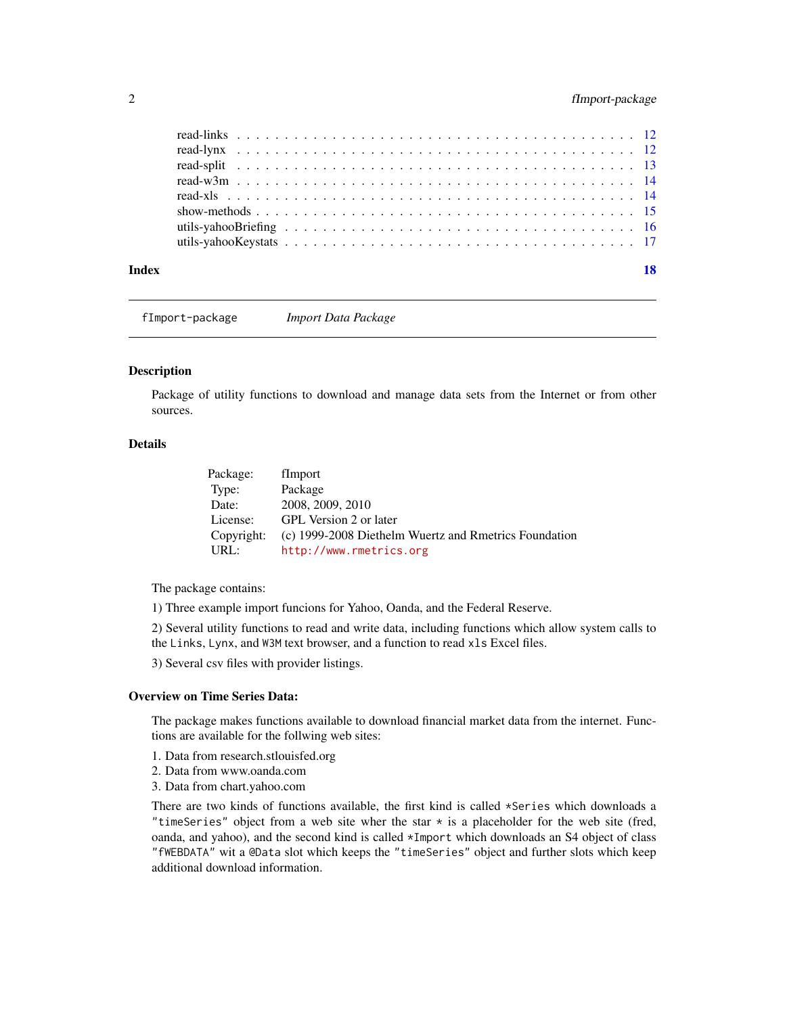<span id="page-1-0"></span>

| Index | 18 |
|-------|----|
|       |    |
|       |    |
|       |    |
|       |    |
|       |    |
|       |    |
|       |    |
|       |    |

fImport-package *Import Data Package*

#### Description

Package of utility functions to download and manage data sets from the Internet or from other sources.

#### Details

| Package:   | fImport                                               |
|------------|-------------------------------------------------------|
| Type:      | Package                                               |
| Date:      | 2008, 2009, 2010                                      |
| License:   | GPL Version 2 or later                                |
| Copyright: | (c) 1999-2008 Diethelm Wuertz and Rmetrics Foundation |
| URL:       | http://www.rmetrics.org                               |

The package contains:

1) Three example import funcions for Yahoo, Oanda, and the Federal Reserve.

2) Several utility functions to read and write data, including functions which allow system calls to the Links, Lynx, and W3M text browser, and a function to read xls Excel files.

3) Several csv files with provider listings.

#### Overview on Time Series Data:

The package makes functions available to download financial market data from the internet. Functions are available for the follwing web sites:

- 1. Data from research.stlouisfed.org
- 2. Data from www.oanda.com
- 3. Data from chart.yahoo.com

There are two kinds of functions available, the first kind is called \*Series which downloads a "timeSeries" object from a web site wher the star  $\star$  is a placeholder for the web site (fred, oanda, and yahoo), and the second kind is called \*Import which downloads an S4 object of class "fWEBDATA" wit a @Data slot which keeps the "timeSeries" object and further slots which keep additional download information.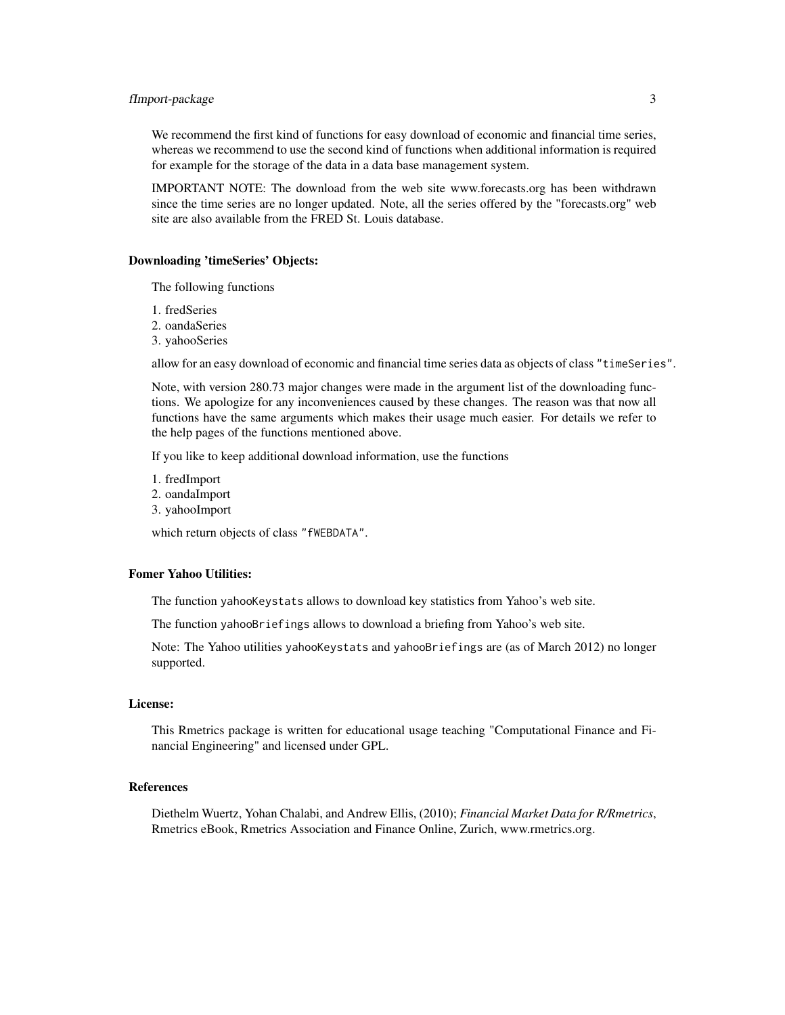#### fImport-package 3

We recommend the first kind of functions for easy download of economic and financial time series, whereas we recommend to use the second kind of functions when additional information is required for example for the storage of the data in a data base management system.

IMPORTANT NOTE: The download from the web site www.forecasts.org has been withdrawn since the time series are no longer updated. Note, all the series offered by the "forecasts.org" web site are also available from the FRED St. Louis database.

#### Downloading 'timeSeries' Objects:

The following functions

- 1. fredSeries
- 2. oandaSeries
- 3. yahooSeries

allow for an easy download of economic and financial time series data as objects of class "timeSeries".

Note, with version 280.73 major changes were made in the argument list of the downloading functions. We apologize for any inconveniences caused by these changes. The reason was that now all functions have the same arguments which makes their usage much easier. For details we refer to the help pages of the functions mentioned above.

If you like to keep additional download information, use the functions

- 1. fredImport
- 2. oandaImport
- 3. yahooImport

which return objects of class "fWEBDATA".

#### Fomer Yahoo Utilities:

The function yahooKeystats allows to download key statistics from Yahoo's web site.

The function yahooBriefings allows to download a briefing from Yahoo's web site.

Note: The Yahoo utilities yahooKeystats and yahooBriefings are (as of March 2012) no longer supported.

#### License:

This Rmetrics package is written for educational usage teaching "Computational Finance and Financial Engineering" and licensed under GPL.

#### References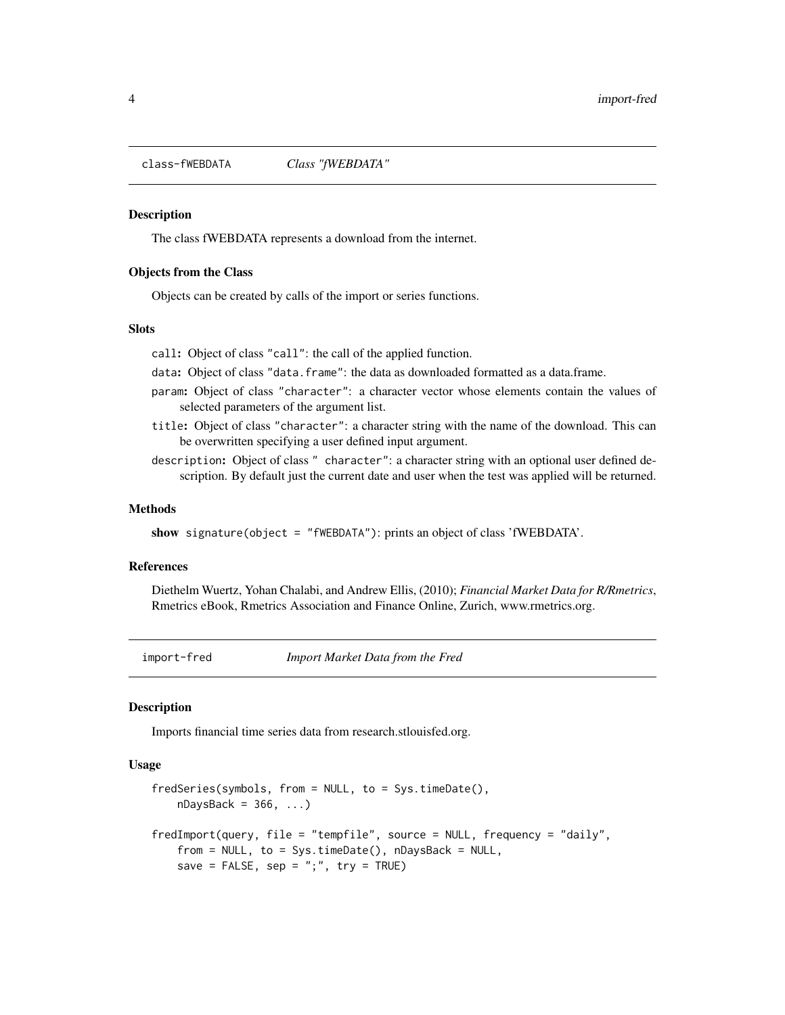<span id="page-3-0"></span>class-fWEBDATA *Class "fWEBDATA"*

#### Description

The class fWEBDATA represents a download from the internet.

#### Objects from the Class

Objects can be created by calls of the import or series functions.

#### **Slots**

call: Object of class "call": the call of the applied function.

- data: Object of class "data.frame": the data as downloaded formatted as a data.frame.
- param: Object of class "character": a character vector whose elements contain the values of selected parameters of the argument list.
- title: Object of class "character": a character string with the name of the download. This can be overwritten specifying a user defined input argument.
- description: Object of class " character": a character string with an optional user defined description. By default just the current date and user when the test was applied will be returned.

#### Methods

show signature(object = "fWEBDATA"): prints an object of class 'fWEBDATA'.

#### References

Diethelm Wuertz, Yohan Chalabi, and Andrew Ellis, (2010); *Financial Market Data for R/Rmetrics*, Rmetrics eBook, Rmetrics Association and Finance Online, Zurich, www.rmetrics.org.

import-fred *Import Market Data from the Fred*

#### Description

Imports financial time series data from research.stlouisfed.org.

#### Usage

```
fredSeries(symbols, from = NULL, to = Sys.timeDate(),
   nDaysBack = 366, \dots)
fredImport(query, file = "tempfile", source = NULL, frequency = "daily",
   from = NULL, to = Sys.timeDate(), nDaysBack = NULL,save = FALSE, sep = ";", try = TRUE)
```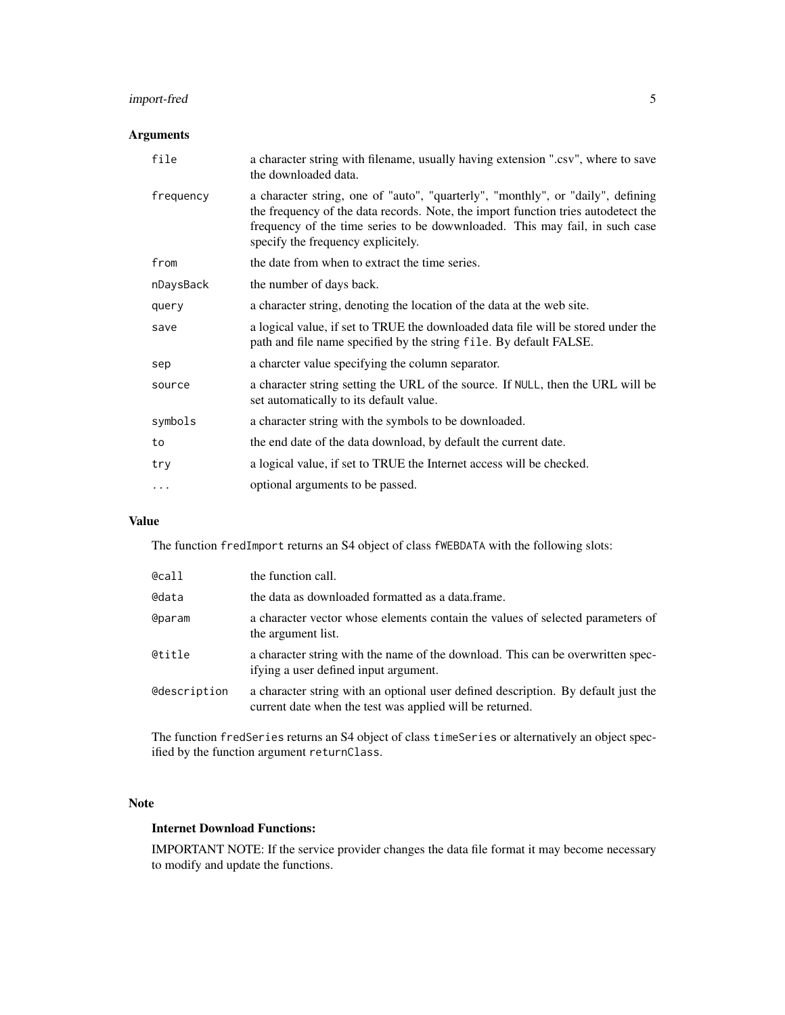### import-fred 5

#### Arguments

| file      | a character string with filename, usually having extension ".csv", where to save<br>the downloaded data.                                                                                                                                                                                  |
|-----------|-------------------------------------------------------------------------------------------------------------------------------------------------------------------------------------------------------------------------------------------------------------------------------------------|
| frequency | a character string, one of "auto", "quarterly", "monthly", or "daily", defining<br>the frequency of the data records. Note, the import function tries autodetect the<br>frequency of the time series to be dowwnloaded. This may fail, in such case<br>specify the frequency explicitely. |
| from      | the date from when to extract the time series.                                                                                                                                                                                                                                            |
| nDaysBack | the number of days back.                                                                                                                                                                                                                                                                  |
| query     | a character string, denoting the location of the data at the web site.                                                                                                                                                                                                                    |
| save      | a logical value, if set to TRUE the downloaded data file will be stored under the<br>path and file name specified by the string file. By default FALSE.                                                                                                                                   |
| sep       | a charcter value specifying the column separator.                                                                                                                                                                                                                                         |
| source    | a character string setting the URL of the source. If NULL, then the URL will be<br>set automatically to its default value.                                                                                                                                                                |
| symbols   | a character string with the symbols to be downloaded.                                                                                                                                                                                                                                     |
| to        | the end date of the data download, by default the current date.                                                                                                                                                                                                                           |
| try       | a logical value, if set to TRUE the Internet access will be checked.                                                                                                                                                                                                                      |
| .         | optional arguments to be passed.                                                                                                                                                                                                                                                          |

#### Value

The function fredImport returns an S4 object of class fWEBDATA with the following slots:

| @call        | the function call.                                                                                                                            |
|--------------|-----------------------------------------------------------------------------------------------------------------------------------------------|
| @data        | the data as downloaded formatted as a data.frame.                                                                                             |
| @param       | a character vector whose elements contain the values of selected parameters of<br>the argument list.                                          |
| @title       | a character string with the name of the download. This can be overwritten spec-<br>if ying a user defined input argument.                     |
| @description | a character string with an optional user defined description. By default just the<br>current date when the test was applied will be returned. |

The function fredSeries returns an S4 object of class timeSeries or alternatively an object specified by the function argument returnClass.

#### Note

#### Internet Download Functions:

IMPORTANT NOTE: If the service provider changes the data file format it may become necessary to modify and update the functions.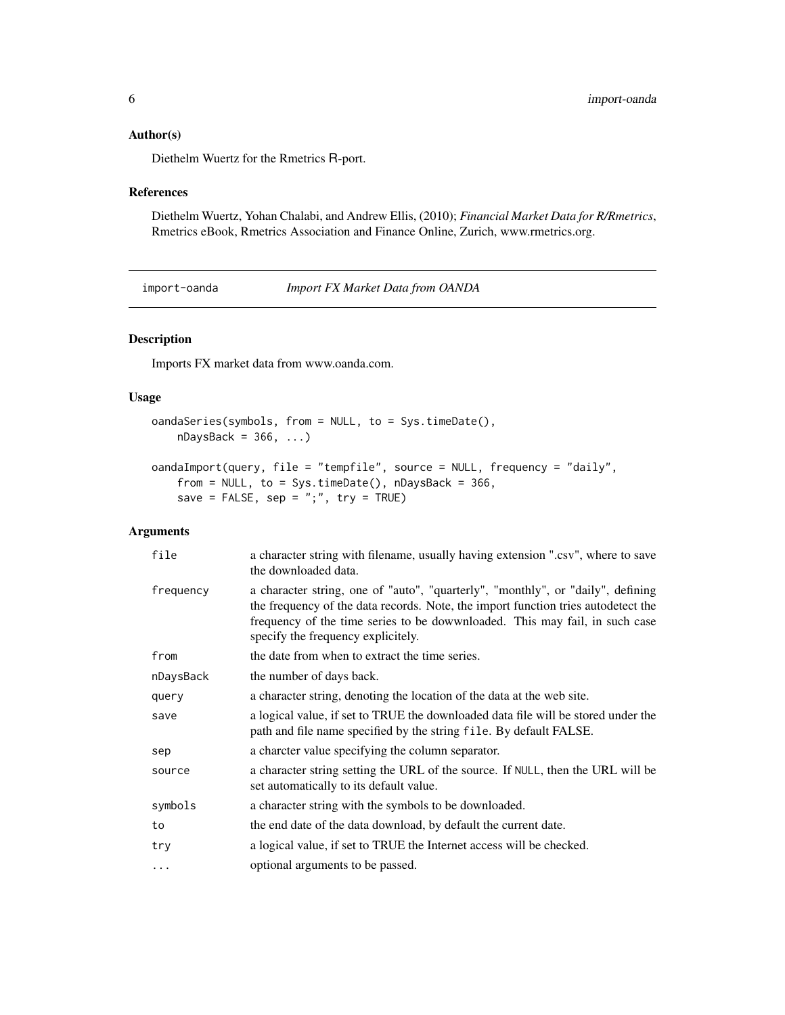#### <span id="page-5-0"></span>Author(s)

Diethelm Wuertz for the Rmetrics R-port.

#### References

Diethelm Wuertz, Yohan Chalabi, and Andrew Ellis, (2010); *Financial Market Data for R/Rmetrics*, Rmetrics eBook, Rmetrics Association and Finance Online, Zurich, www.rmetrics.org.

import-oanda *Import FX Market Data from OANDA*

#### Description

Imports FX market data from www.oanda.com.

#### Usage

```
oandaSeries(symbols, from = NULL, to = Sys.timeDate(),
    nDaysBack = 366, ...)
oandaImport(query, file = "tempfile", source = NULL, frequency = "daily",
```

```
from = NULL, to = Sys.timeDate(), nDaysBack = 366,
save = FALSE, sep = ";", try = TRUE)
```
#### Arguments

| file      | a character string with filename, usually having extension ".csv", where to save<br>the downloaded data.                                                                                                                                                                                  |
|-----------|-------------------------------------------------------------------------------------------------------------------------------------------------------------------------------------------------------------------------------------------------------------------------------------------|
| frequency | a character string, one of "auto", "quarterly", "monthly", or "daily", defining<br>the frequency of the data records. Note, the import function tries autodetect the<br>frequency of the time series to be dowwnloaded. This may fail, in such case<br>specify the frequency explicitely. |
| from      | the date from when to extract the time series.                                                                                                                                                                                                                                            |
| nDaysBack | the number of days back.                                                                                                                                                                                                                                                                  |
| query     | a character string, denoting the location of the data at the web site.                                                                                                                                                                                                                    |
| save      | a logical value, if set to TRUE the downloaded data file will be stored under the<br>path and file name specified by the string file. By default FALSE.                                                                                                                                   |
| sep       | a charcter value specifying the column separator.                                                                                                                                                                                                                                         |
| source    | a character string setting the URL of the source. If NULL, then the URL will be<br>set automatically to its default value.                                                                                                                                                                |
| symbols   | a character string with the symbols to be downloaded.                                                                                                                                                                                                                                     |
| to        | the end date of the data download, by default the current date.                                                                                                                                                                                                                           |
| try       | a logical value, if set to TRUE the Internet access will be checked.                                                                                                                                                                                                                      |
| $\ddotsc$ | optional arguments to be passed.                                                                                                                                                                                                                                                          |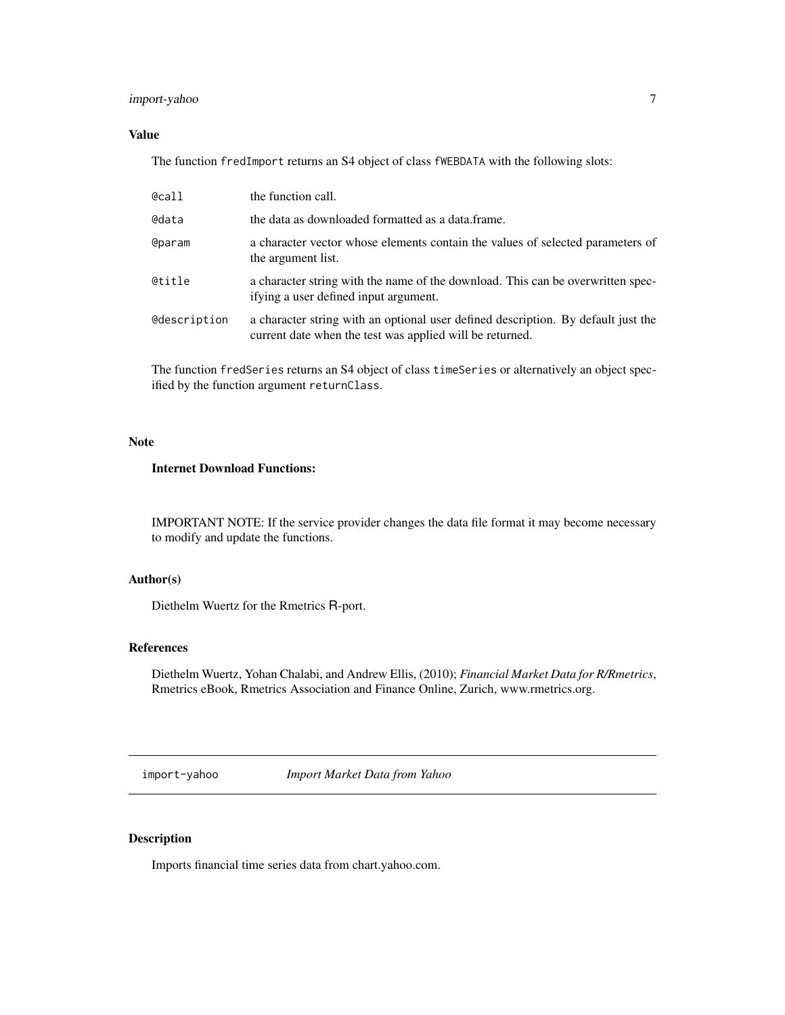#### <span id="page-6-0"></span>import-yahoo 7

#### Value

The function fredImport returns an S4 object of class fWEBDATA with the following slots:

| @call               | the function call.                                                                                                                            |
|---------------------|-----------------------------------------------------------------------------------------------------------------------------------------------|
| @data               | the data as downloaded formatted as a data frame.                                                                                             |
| <b>@param</b>       | a character vector whose elements contain the values of selected parameters of<br>the argument list.                                          |
| <b>@title</b>       | a character string with the name of the download. This can be overwritten spec-<br>if ying a user defined input argument.                     |
| <b>@description</b> | a character string with an optional user defined description. By default just the<br>current date when the test was applied will be returned. |

The function fredSeries returns an S4 object of class timeSeries or alternatively an object specified by the function argument returnClass.

#### Note

#### Internet Download Functions:

IMPORTANT NOTE: If the service provider changes the data file format it may become necessary to modify and update the functions.

#### Author(s)

Diethelm Wuertz for the Rmetrics R-port.

#### References

Diethelm Wuertz, Yohan Chalabi, and Andrew Ellis, (2010); *Financial Market Data for R/Rmetrics*, Rmetrics eBook, Rmetrics Association and Finance Online, Zurich, www.rmetrics.org.

import-yahoo *Import Market Data from Yahoo*

#### Description

Imports financial time series data from chart.yahoo.com.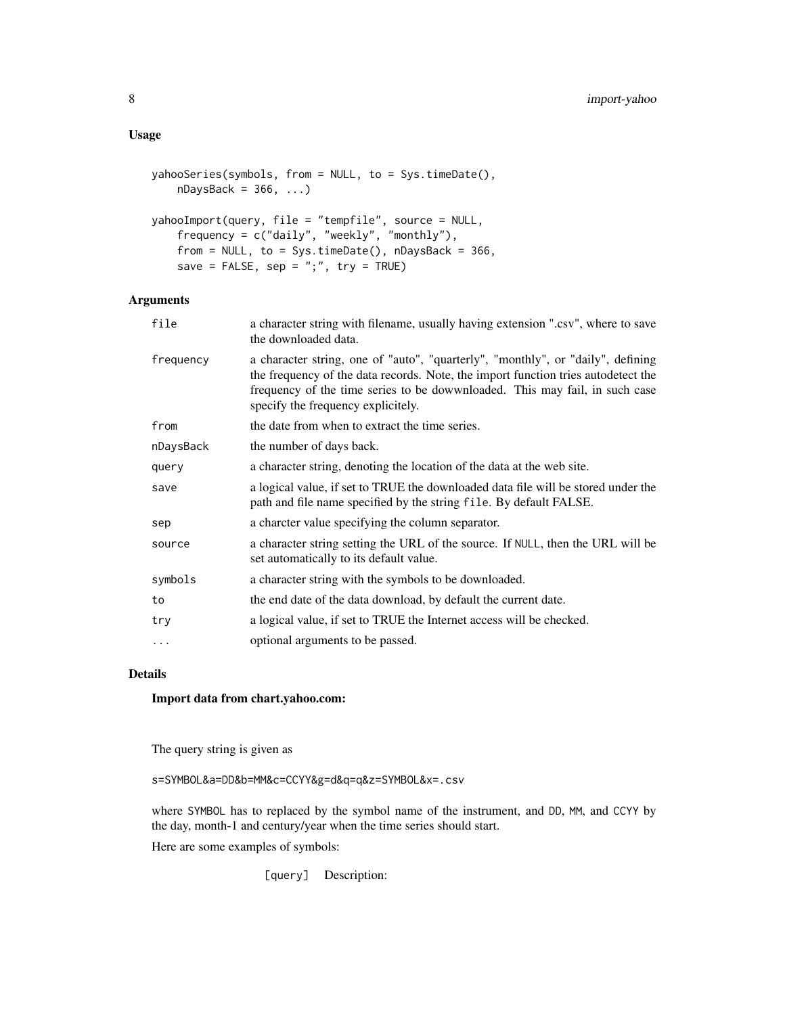#### Usage

```
yahooSeries(symbols, from = NULL, to = Sys.timeDate(),
    nDaysBack = 366, ...)
yahooImport(query, file = "tempfile", source = NULL,
    frequency = c("daily", "weekly", "monthly"),
    from = NULL, to = Sys.timeDate(), nDaysBack = 366,save = FALSE, sep = ";", try = TRUE)
```
### Arguments

| file      | a character string with filename, usually having extension ".csv", where to save<br>the downloaded data.                                                                                                                                                                                  |
|-----------|-------------------------------------------------------------------------------------------------------------------------------------------------------------------------------------------------------------------------------------------------------------------------------------------|
| frequency | a character string, one of "auto", "quarterly", "monthly", or "daily", defining<br>the frequency of the data records. Note, the import function tries autodetect the<br>frequency of the time series to be dowwnloaded. This may fail, in such case<br>specify the frequency explicitely. |
| from      | the date from when to extract the time series.                                                                                                                                                                                                                                            |
| nDaysBack | the number of days back.                                                                                                                                                                                                                                                                  |
| query     | a character string, denoting the location of the data at the web site.                                                                                                                                                                                                                    |
| save      | a logical value, if set to TRUE the downloaded data file will be stored under the<br>path and file name specified by the string file. By default FALSE.                                                                                                                                   |
| sep       | a charcter value specifying the column separator.                                                                                                                                                                                                                                         |
| source    | a character string setting the URL of the source. If NULL, then the URL will be<br>set automatically to its default value.                                                                                                                                                                |
| symbols   | a character string with the symbols to be downloaded.                                                                                                                                                                                                                                     |
| to        | the end date of the data download, by default the current date.                                                                                                                                                                                                                           |
| try       | a logical value, if set to TRUE the Internet access will be checked.                                                                                                                                                                                                                      |
| $\cdots$  | optional arguments to be passed.                                                                                                                                                                                                                                                          |

#### Details

#### Import data from chart.yahoo.com:

The query string is given as

s=SYMBOL&a=DD&b=MM&c=CCYY&g=d&q=q&z=SYMBOL&x=.csv

where SYMBOL has to replaced by the symbol name of the instrument, and DD, MM, and CCYY by the day, month-1 and century/year when the time series should start.

Here are some examples of symbols:

[query] Description: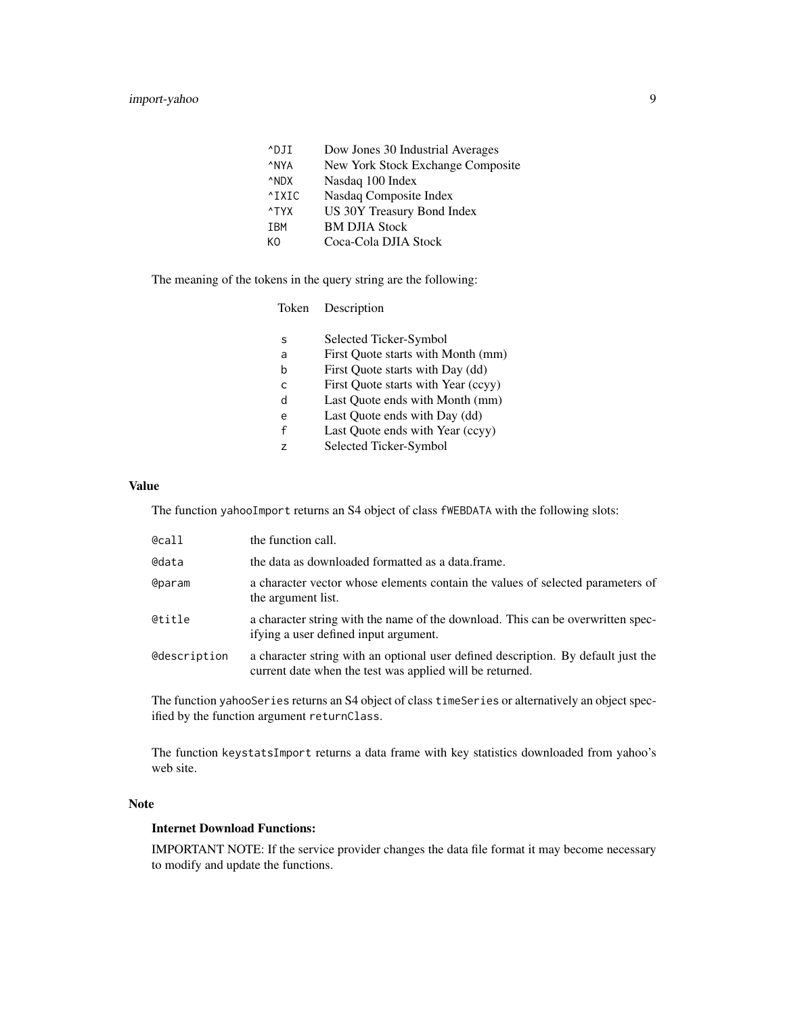| Dow Jones 30 Industrial Averages  |
|-----------------------------------|
| New York Stock Exchange Composite |
| Nasdaq 100 Index                  |
| Nasdaq Composite Index            |
| US 30Y Treasury Bond Index        |
| <b>BM DJIA Stock</b>              |
| Coca-Cola DJIA Stock              |
|                                   |

The meaning of the tokens in the query string are the following:

| Description |
|-------------|
|             |

| S | Selected Ticker-Symbol              |
|---|-------------------------------------|
| a | First Quote starts with Month (mm)  |
| b | First Quote starts with Day (dd)    |
| C | First Quote starts with Year (ccyy) |
| d | Last Ouote ends with Month (mm)     |
| e | Last Quote ends with Day (dd)       |
| f | Last Quote ends with Year (ccyy)    |
|   |                                     |

z Selected Ticker-Symbol

#### Value

The function yahooImport returns an S4 object of class fWEBDATA with the following slots:

| @call         | the function call.                                                                                                                            |
|---------------|-----------------------------------------------------------------------------------------------------------------------------------------------|
| @data         | the data as downloaded formatted as a data.frame.                                                                                             |
| <b>@param</b> | a character vector whose elements contain the values of selected parameters of<br>the argument list.                                          |
| @title        | a character string with the name of the download. This can be overwritten spec-<br>if ying a user defined input argument.                     |
| @description  | a character string with an optional user defined description. By default just the<br>current date when the test was applied will be returned. |

The function yahooSeries returns an S4 object of class timeSeries or alternatively an object specified by the function argument returnClass.

The function keystatsImport returns a data frame with key statistics downloaded from yahoo's web site.

#### Note

#### Internet Download Functions:

IMPORTANT NOTE: If the service provider changes the data file format it may become necessary to modify and update the functions.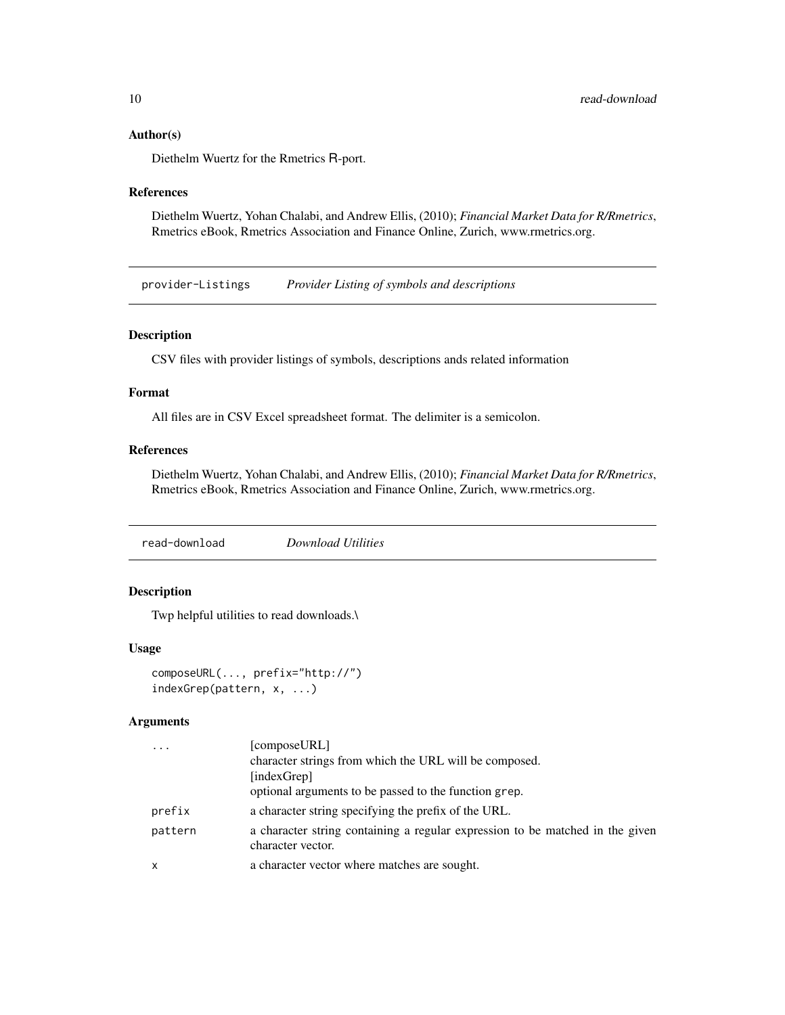#### <span id="page-9-0"></span>Author(s)

Diethelm Wuertz for the Rmetrics R-port.

#### References

Diethelm Wuertz, Yohan Chalabi, and Andrew Ellis, (2010); *Financial Market Data for R/Rmetrics*, Rmetrics eBook, Rmetrics Association and Finance Online, Zurich, www.rmetrics.org.

provider-Listings *Provider Listing of symbols and descriptions*

#### Description

CSV files with provider listings of symbols, descriptions ands related information

#### Format

All files are in CSV Excel spreadsheet format. The delimiter is a semicolon.

#### References

Diethelm Wuertz, Yohan Chalabi, and Andrew Ellis, (2010); *Financial Market Data for R/Rmetrics*, Rmetrics eBook, Rmetrics Association and Finance Online, Zurich, www.rmetrics.org.

read-download *Download Utilities*

#### Description

Twp helpful utilities to read downloads.\

#### Usage

composeURL(..., prefix="http://") indexGrep(pattern, x, ...)

#### Arguments

|              | [composeURL]                                                                                       |
|--------------|----------------------------------------------------------------------------------------------------|
|              | character strings from which the URL will be composed.                                             |
|              | [indexGrep]                                                                                        |
|              | optional arguments to be passed to the function grep.                                              |
| prefix       | a character string specifying the prefix of the URL.                                               |
| pattern      | a character string containing a regular expression to be matched in the given<br>character vector. |
| $\mathsf{x}$ | a character vector where matches are sought.                                                       |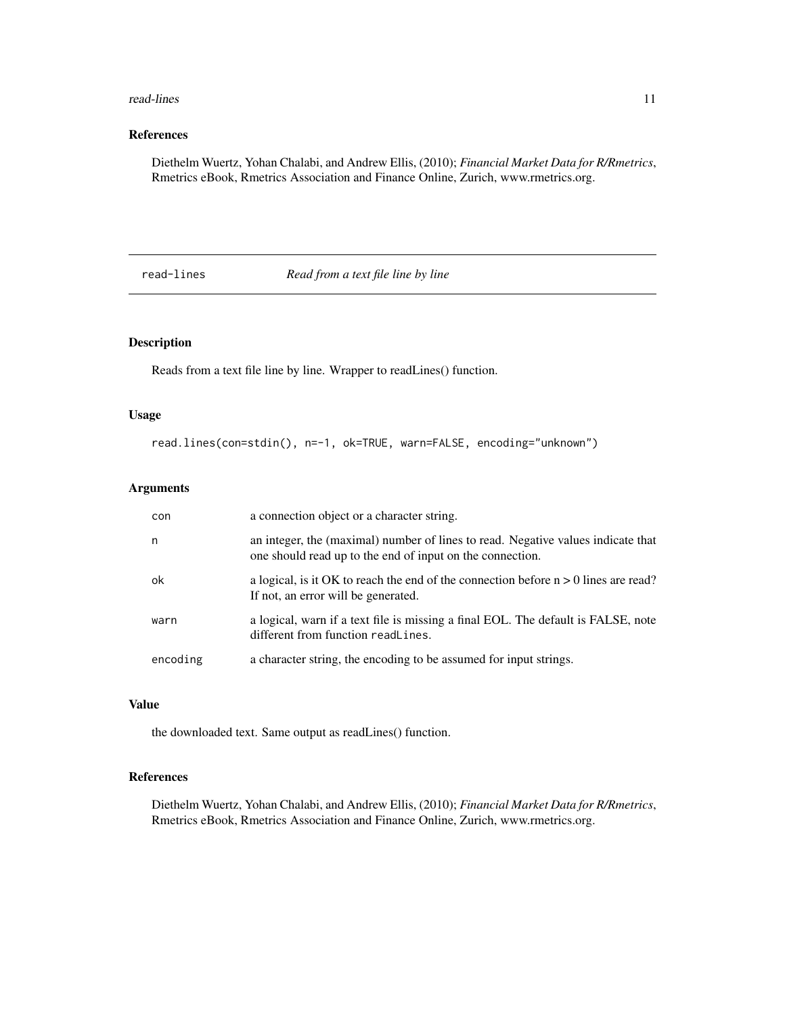#### <span id="page-10-0"></span>read-lines and  $\frac{11}{2}$

#### References

Diethelm Wuertz, Yohan Chalabi, and Andrew Ellis, (2010); *Financial Market Data for R/Rmetrics*, Rmetrics eBook, Rmetrics Association and Finance Online, Zurich, www.rmetrics.org.

read-lines *Read from a text file line by line*

#### Description

Reads from a text file line by line. Wrapper to readLines() function.

#### Usage

read.lines(con=stdin(), n=-1, ok=TRUE, warn=FALSE, encoding="unknown")

#### Arguments

| con      | a connection object or a character string.                                                                                                    |
|----------|-----------------------------------------------------------------------------------------------------------------------------------------------|
| n        | an integer, the (maximal) number of lines to read. Negative values indicate that<br>one should read up to the end of input on the connection. |
| ok       | a logical, is it OK to reach the end of the connection before $n > 0$ lines are read?<br>If not, an error will be generated.                  |
| warn     | a logical, warn if a text file is missing a final EOL. The default is FALSE, note<br>different from function readLines.                       |
| encoding | a character string, the encoding to be assumed for input strings.                                                                             |

#### Value

the downloaded text. Same output as readLines() function.

#### References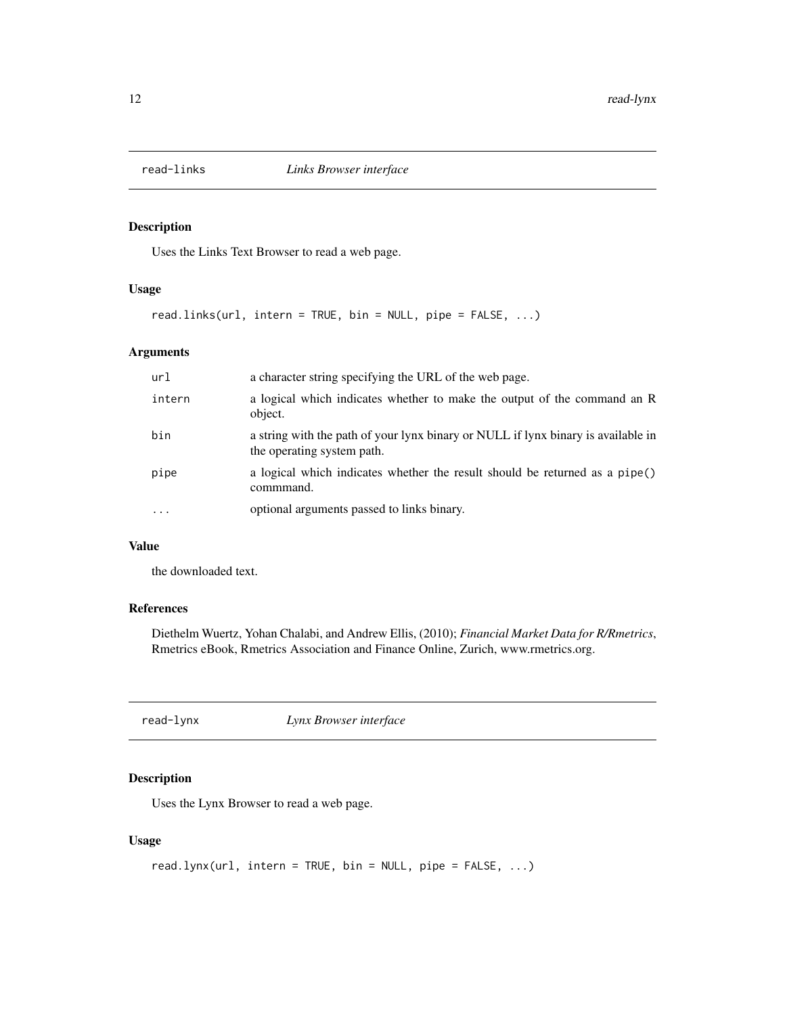<span id="page-11-0"></span>

#### Description

Uses the Links Text Browser to read a web page.

#### Usage

read.links(url, intern = TRUE, bin = NULL, pipe = FALSE, ...)

#### Arguments

| url    | a character string specifying the URL of the web page.                                                          |
|--------|-----------------------------------------------------------------------------------------------------------------|
| intern | a logical which indicates whether to make the output of the command an R<br>object.                             |
| bin    | a string with the path of your lynx binary or NULL if lynx binary is available in<br>the operating system path. |
| pipe   | a logical which indicates whether the result should be returned as a pipe()<br>commmand.                        |
|        | optional arguments passed to links binary.                                                                      |

#### Value

the downloaded text.

#### References

Diethelm Wuertz, Yohan Chalabi, and Andrew Ellis, (2010); *Financial Market Data for R/Rmetrics*, Rmetrics eBook, Rmetrics Association and Finance Online, Zurich, www.rmetrics.org.

read-lynx *Lynx Browser interface*

#### Description

Uses the Lynx Browser to read a web page.

#### Usage

```
read.lynx(url, intern = TRUE, bin = NULL, pipe = FALSE, ...)
```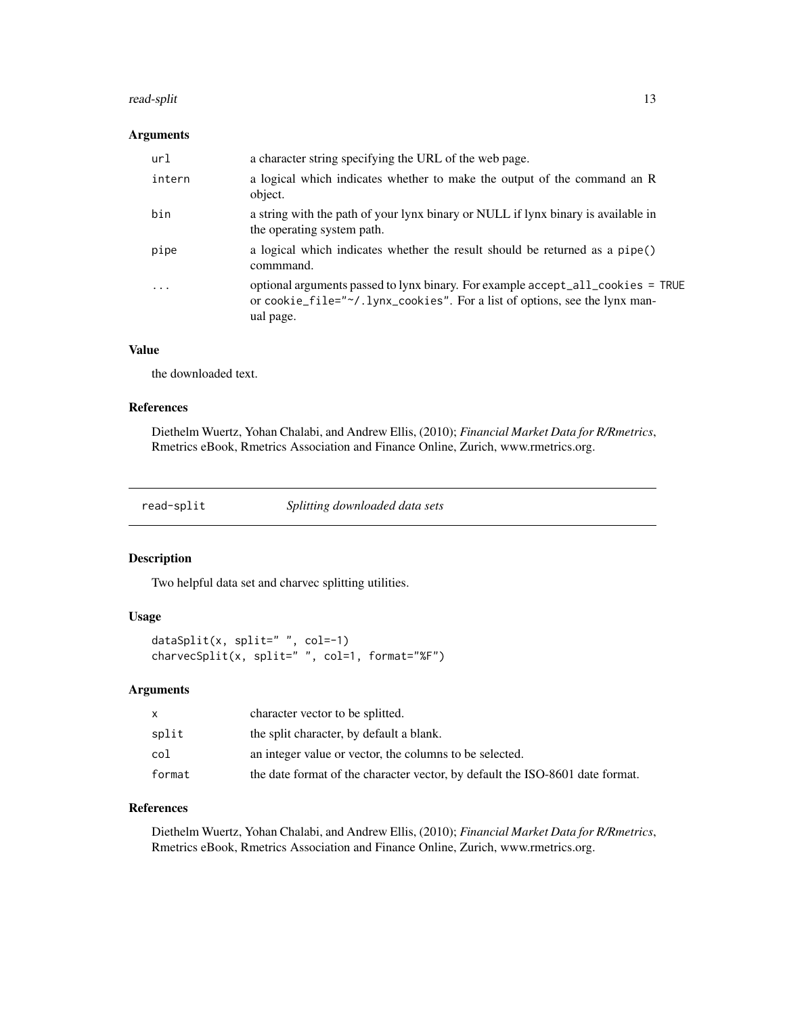#### <span id="page-12-0"></span>read-split that is a set of the set of the set of the set of the set of the set of the set of the set of the set of the set of the set of the set of the set of the set of the set of the set of the set of the set of the set

#### Arguments

| url                     | a character string specifying the URL of the web page.                                                                                                                     |
|-------------------------|----------------------------------------------------------------------------------------------------------------------------------------------------------------------------|
| intern                  | a logical which indicates whether to make the output of the command an R<br>object.                                                                                        |
| bin                     | a string with the path of your lynx binary or NULL if lynx binary is available in<br>the operating system path.                                                            |
| pipe                    | a logical which indicates whether the result should be returned as a pipe()<br>commmand.                                                                                   |
| $\cdot$ $\cdot$ $\cdot$ | optional arguments passed to lynx binary. For example accept_all_cookies = TRUE<br>or cookie_file="~/.lynx_cookies". For a list of options, see the lynx man-<br>ual page. |

#### Value

the downloaded text.

#### References

Diethelm Wuertz, Yohan Chalabi, and Andrew Ellis, (2010); *Financial Market Data for R/Rmetrics*, Rmetrics eBook, Rmetrics Association and Finance Online, Zurich, www.rmetrics.org.

read-split *Splitting downloaded data sets*

#### Description

Two helpful data set and charvec splitting utilities.

#### Usage

dataSplit(x, split=" ", col=-1) charvecSplit(x, split=" ", col=1, format="%F")

#### Arguments

|        | character vector to be splitted.                                              |
|--------|-------------------------------------------------------------------------------|
| split  | the split character, by default a blank.                                      |
| col    | an integer value or vector, the columns to be selected.                       |
| format | the date format of the character vector, by default the ISO-8601 date format. |

#### References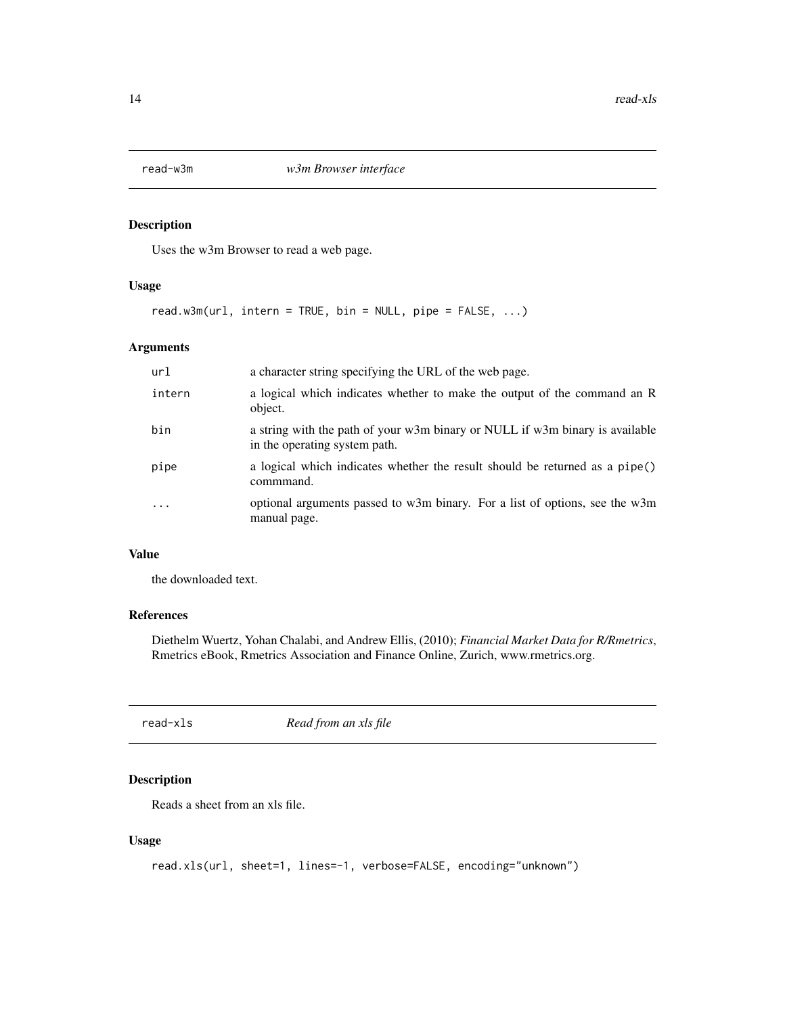<span id="page-13-0"></span>

### Description

Uses the w3m Browser to read a web page.

#### Usage

read.w3m(url, intern = TRUE, bin = NULL, pipe = FALSE, ...)

#### Arguments

| url      | a character string specifying the URL of the web page.                                                        |
|----------|---------------------------------------------------------------------------------------------------------------|
| intern   | a logical which indicates whether to make the output of the command an R<br>object.                           |
| bin      | a string with the path of your w3m binary or NULL if w3m binary is available<br>in the operating system path. |
| pipe     | a logical which indicates whether the result should be returned as a pipe()<br>commmand.                      |
| $\cdots$ | optional arguments passed to w3m binary. For a list of options, see the w3m<br>manual page.                   |

#### Value

the downloaded text.

#### References

Diethelm Wuertz, Yohan Chalabi, and Andrew Ellis, (2010); *Financial Market Data for R/Rmetrics*, Rmetrics eBook, Rmetrics Association and Finance Online, Zurich, www.rmetrics.org.

| Read from an xls file<br>read-xls |  |  |  |
|-----------------------------------|--|--|--|
|-----------------------------------|--|--|--|

#### Description

Reads a sheet from an xls file.

#### Usage

```
read.xls(url, sheet=1, lines=-1, verbose=FALSE, encoding="unknown")
```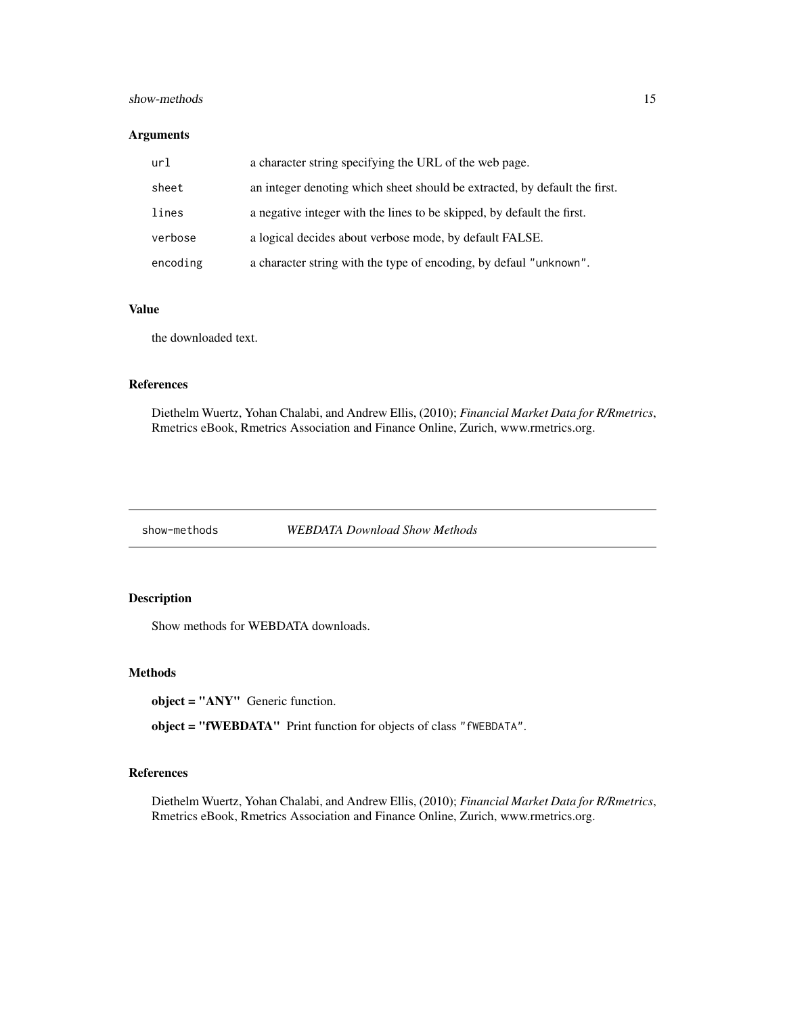#### <span id="page-14-0"></span>show-methods 15

#### Arguments

| url      | a character string specifying the URL of the web page.                     |
|----------|----------------------------------------------------------------------------|
| sheet    | an integer denoting which sheet should be extracted, by default the first. |
| lines    | a negative integer with the lines to be skipped, by default the first.     |
| verbose  | a logical decides about verbose mode, by default FALSE.                    |
| encoding | a character string with the type of encoding, by defaul "unknown".         |

#### Value

the downloaded text.

#### References

Diethelm Wuertz, Yohan Chalabi, and Andrew Ellis, (2010); *Financial Market Data for R/Rmetrics*, Rmetrics eBook, Rmetrics Association and Finance Online, Zurich, www.rmetrics.org.

show-methods *WEBDATA Download Show Methods*

#### Description

Show methods for WEBDATA downloads.

#### Methods

object = "ANY" Generic function.

object = "fWEBDATA" Print function for objects of class "fWEBDATA".

#### References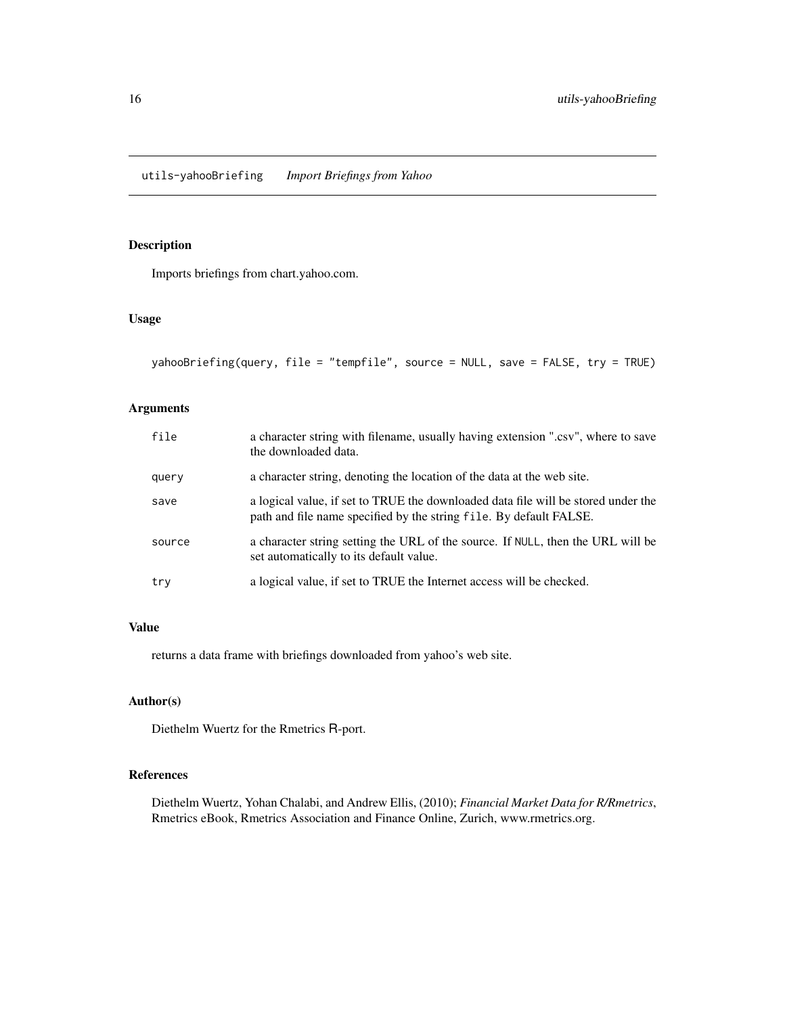<span id="page-15-0"></span>utils-yahooBriefing *Import Briefings from Yahoo*

#### Description

Imports briefings from chart.yahoo.com.

#### Usage

```
yahooBriefing(query, file = "tempfile", source = NULL, save = FALSE, try = TRUE)
```
#### Arguments

| file   | a character string with filename, usually having extension ".csv", where to save<br>the downloaded data.                                                |
|--------|---------------------------------------------------------------------------------------------------------------------------------------------------------|
| query  | a character string, denoting the location of the data at the web site.                                                                                  |
| save   | a logical value, if set to TRUE the downloaded data file will be stored under the<br>path and file name specified by the string file. By default FALSE. |
| source | a character string setting the URL of the source. If NULL, then the URL will be<br>set automatically to its default value.                              |
| try    | a logical value, if set to TRUE the Internet access will be checked.                                                                                    |

### Value

returns a data frame with briefings downloaded from yahoo's web site.

#### Author(s)

Diethelm Wuertz for the Rmetrics R-port.

#### References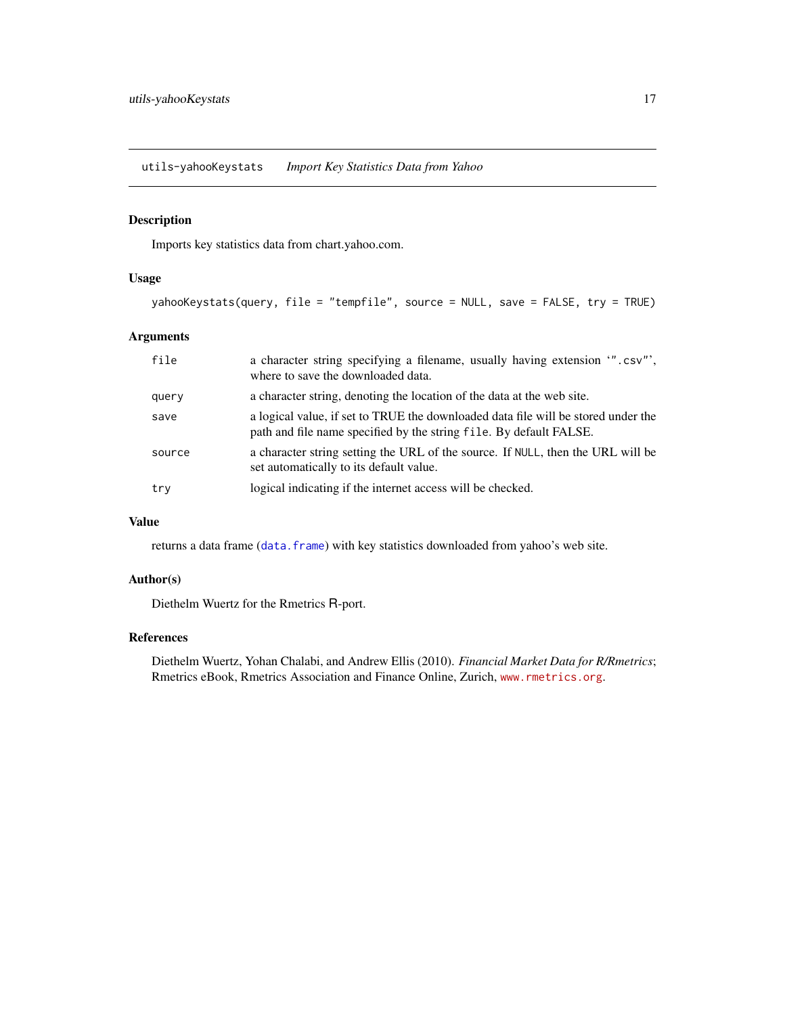<span id="page-16-0"></span>utils-yahooKeystats *Import Key Statistics Data from Yahoo*

#### Description

Imports key statistics data from chart.yahoo.com.

#### Usage

```
yahooKeystats(query, file = "tempfile", source = NULL, save = FALSE, try = TRUE)
```
#### Arguments

| file   | a character string specifying a filename, usually having extension ".csv",<br>where to save the downloaded data.                                        |
|--------|---------------------------------------------------------------------------------------------------------------------------------------------------------|
| query  | a character string, denoting the location of the data at the web site.                                                                                  |
| save   | a logical value, if set to TRUE the downloaded data file will be stored under the<br>path and file name specified by the string file. By default FALSE. |
| source | a character string setting the URL of the source. If NULL, then the URL will be<br>set automatically to its default value.                              |
| try    | logical indicating if the internet access will be checked.                                                                                              |

#### Value

returns a data frame ([data.frame](#page-0-0)) with key statistics downloaded from yahoo's web site.

#### Author(s)

Diethelm Wuertz for the Rmetrics R-port.

#### References